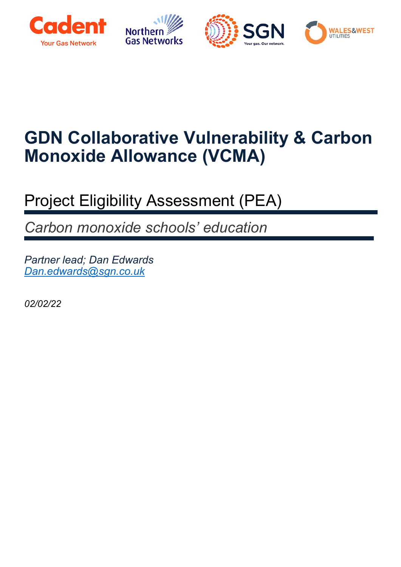





# **GDN Collaborative Vulnerability & Carbon Monoxide Allowance (VCMA)**

## Project Eligibility Assessment (PEA)

*Carbon monoxide schools' education* 

*Partner lead; Dan Edwards [Dan.edwards@sgn.co.uk](mailto:Dan.edwards@sgn.co.uk)*

*02/02/22*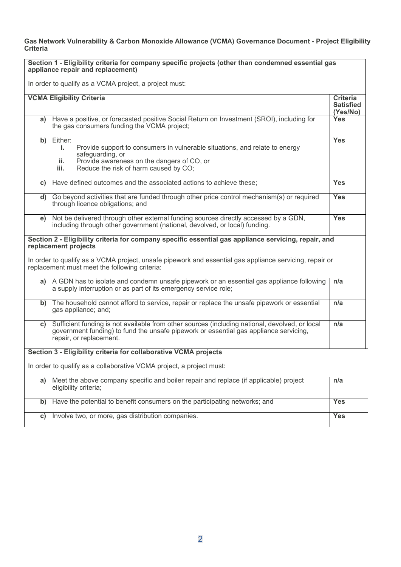**Gas Network Vulnerability & Carbon Monoxide Allowance (VCMA) Governance Document - Project Eligibility Criteria** 

| Section 1 - Eligibility criteria for company specific projects (other than condemned essential gas<br>appliance repair and replacement)                                                                                                                                                  |                                                                                                                                                                                                                           |                                                 |  |
|------------------------------------------------------------------------------------------------------------------------------------------------------------------------------------------------------------------------------------------------------------------------------------------|---------------------------------------------------------------------------------------------------------------------------------------------------------------------------------------------------------------------------|-------------------------------------------------|--|
| In order to qualify as a VCMA project, a project must:                                                                                                                                                                                                                                   |                                                                                                                                                                                                                           |                                                 |  |
|                                                                                                                                                                                                                                                                                          | <b>VCMA Eligibility Criteria</b>                                                                                                                                                                                          | <b>Criteria</b><br><b>Satisfied</b><br>(Yes/No) |  |
| a)                                                                                                                                                                                                                                                                                       | Have a positive, or forecasted positive Social Return on Investment (SROI), including for<br>the gas consumers funding the VCMA project;                                                                                  | <b>Yes</b>                                      |  |
|                                                                                                                                                                                                                                                                                          | b) Either:<br>Provide support to consumers in vulnerable situations, and relate to energy<br>i.<br>safeguarding, or<br>Provide awareness on the dangers of CO, or<br>ii.<br>Reduce the risk of harm caused by CO;<br>iii. | <b>Yes</b>                                      |  |
| C)                                                                                                                                                                                                                                                                                       | Have defined outcomes and the associated actions to achieve these;                                                                                                                                                        | <b>Yes</b>                                      |  |
|                                                                                                                                                                                                                                                                                          | d) Go beyond activities that are funded through other price control mechanism(s) or required<br>through licence obligations; and                                                                                          | <b>Yes</b>                                      |  |
| e)                                                                                                                                                                                                                                                                                       | Not be delivered through other external funding sources directly accessed by a GDN,<br>including through other government (national, devolved, or local) funding.                                                         | <b>Yes</b>                                      |  |
| Section 2 - Eligibility criteria for company specific essential gas appliance servicing, repair, and<br>replacement projects<br>In order to qualify as a VCMA project, unsafe pipework and essential gas appliance servicing, repair or<br>replacement must meet the following criteria: |                                                                                                                                                                                                                           |                                                 |  |
|                                                                                                                                                                                                                                                                                          | a) A GDN has to isolate and condemn unsafe pipework or an essential gas appliance following<br>a supply interruption or as part of its emergency service role;                                                            | n/a                                             |  |
|                                                                                                                                                                                                                                                                                          | b) The household cannot afford to service, repair or replace the unsafe pipework or essential<br>gas appliance; and;                                                                                                      | n/a                                             |  |
|                                                                                                                                                                                                                                                                                          | c) Sufficient funding is not available from other sources (including national, devolved, or local<br>government funding) to fund the unsafe pipework or essential gas appliance servicing,<br>repair, or replacement.     | n/a                                             |  |
|                                                                                                                                                                                                                                                                                          | Section 3 - Eligibility criteria for collaborative VCMA projects                                                                                                                                                          |                                                 |  |
|                                                                                                                                                                                                                                                                                          | In order to qualify as a collaborative VCMA project, a project must:                                                                                                                                                      |                                                 |  |
| a)                                                                                                                                                                                                                                                                                       | Meet the above company specific and boiler repair and replace (if applicable) project<br>eligibility criteria;                                                                                                            | n/a                                             |  |
| b)                                                                                                                                                                                                                                                                                       | Have the potential to benefit consumers on the participating networks; and                                                                                                                                                | <b>Yes</b>                                      |  |
| C)                                                                                                                                                                                                                                                                                       | Involve two, or more, gas distribution companies.                                                                                                                                                                         | Yes                                             |  |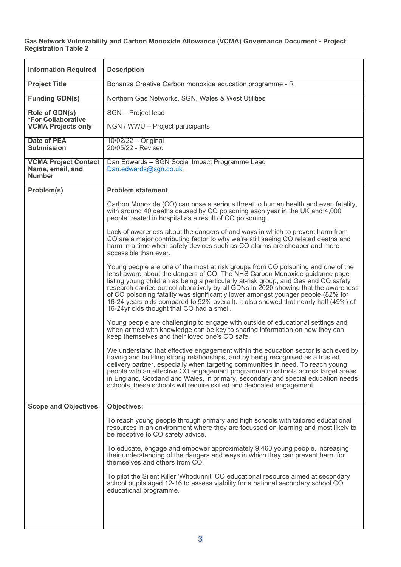**Gas Network Vulnerability and Carbon Monoxide Allowance (VCMA) Governance Document - Project Registration Table 2**

| <b>Information Required</b>                                      | <b>Description</b>                                                                                                                                                                                                                                                                                                                                                                                                                                                                                                                                                   |
|------------------------------------------------------------------|----------------------------------------------------------------------------------------------------------------------------------------------------------------------------------------------------------------------------------------------------------------------------------------------------------------------------------------------------------------------------------------------------------------------------------------------------------------------------------------------------------------------------------------------------------------------|
| <b>Project Title</b>                                             | Bonanza Creative Carbon monoxide education programme - R                                                                                                                                                                                                                                                                                                                                                                                                                                                                                                             |
| <b>Funding GDN(s)</b>                                            | Northern Gas Networks, SGN, Wales & West Utilities                                                                                                                                                                                                                                                                                                                                                                                                                                                                                                                   |
| Role of GDN(s)                                                   | SGN - Project lead                                                                                                                                                                                                                                                                                                                                                                                                                                                                                                                                                   |
| *For Collaborative<br><b>VCMA Projects only</b>                  | NGN / WWU - Project participants                                                                                                                                                                                                                                                                                                                                                                                                                                                                                                                                     |
| <b>Date of PEA</b><br><b>Submission</b>                          | $10/02/22 - Original$<br>20/05/22 - Revised                                                                                                                                                                                                                                                                                                                                                                                                                                                                                                                          |
| <b>VCMA Project Contact</b><br>Name, email, and<br><b>Number</b> | Dan Edwards - SGN Social Impact Programme Lead<br>Dan.edwards@sgn.co.uk                                                                                                                                                                                                                                                                                                                                                                                                                                                                                              |
| Problem(s)                                                       | <b>Problem statement</b>                                                                                                                                                                                                                                                                                                                                                                                                                                                                                                                                             |
|                                                                  | Carbon Monoxide (CO) can pose a serious threat to human health and even fatality,<br>with around 40 deaths caused by CO poisoning each year in the UK and 4,000<br>people treated in hospital as a result of CO poisoning.                                                                                                                                                                                                                                                                                                                                           |
|                                                                  | Lack of awareness about the dangers of and ways in which to prevent harm from<br>CO are a major contributing factor to why we're still seeing CO related deaths and<br>harm in a time when safety devices such as CO alarms are cheaper and more<br>accessible than ever.                                                                                                                                                                                                                                                                                            |
|                                                                  | Young people are one of the most at risk groups from CO poisoning and one of the<br>least aware about the dangers of CO. The NHS Carbon Monoxide guidance page<br>listing young children as being a particularly at-risk group, and Gas and CO safety<br>research carried out collaboratively by all GDNs in 2020 showing that the awareness<br>of CO poisoning fatality was significantly lower amongst younger people (82% for<br>16-24 years olds compared to 92% overall). It also showed that nearly half (49%) of<br>16-24yr olds thought that CO had a smell. |
|                                                                  | Young people are challenging to engage with outside of educational settings and<br>when armed with knowledge can be key to sharing information on how they can<br>keep themselves and their loved one's CO safe.                                                                                                                                                                                                                                                                                                                                                     |
|                                                                  | We understand that effective engagement within the education sector is achieved by<br>having and building strong relationships, and by being recognised as a trusted<br>delivery partner, especially when targeting communities in need. To reach young<br>people with an effective CO engagement programme in schools across target areas<br>in England, Scotland and Wales, in primary, secondary and special education needs<br>schools, these schools will require skilled and dedicated engagement.                                                             |
| <b>Scope and Objectives</b>                                      | <b>Objectives:</b>                                                                                                                                                                                                                                                                                                                                                                                                                                                                                                                                                   |
|                                                                  | To reach young people through primary and high schools with tailored educational<br>resources in an environment where they are focussed on learning and most likely to<br>be receptive to CO safety advice.                                                                                                                                                                                                                                                                                                                                                          |
|                                                                  | To educate, engage and empower approximately 9,460 young people, increasing<br>their understanding of the dangers and ways in which they can prevent harm for<br>themselves and others from CO.                                                                                                                                                                                                                                                                                                                                                                      |
|                                                                  | To pilot the Silent Killer 'Whodunnit' CO educational resource aimed at secondary<br>school pupils aged 12-16 to assess viability for a national secondary school CO<br>educational programme.                                                                                                                                                                                                                                                                                                                                                                       |
|                                                                  |                                                                                                                                                                                                                                                                                                                                                                                                                                                                                                                                                                      |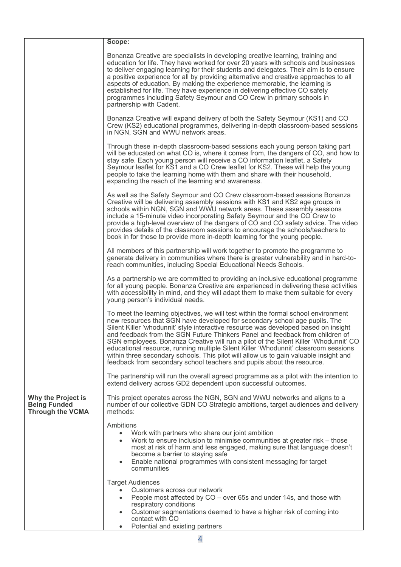|                                                                      | Scope:                                                                                                                                                                                                                                                                                                                                                                                                                                                                                                                                                                                                                                                                                     |  |  |
|----------------------------------------------------------------------|--------------------------------------------------------------------------------------------------------------------------------------------------------------------------------------------------------------------------------------------------------------------------------------------------------------------------------------------------------------------------------------------------------------------------------------------------------------------------------------------------------------------------------------------------------------------------------------------------------------------------------------------------------------------------------------------|--|--|
|                                                                      | Bonanza Creative are specialists in developing creative learning, training and<br>education for life. They have worked for over 20 years with schools and businesses<br>to deliver engaging learning for their students and delegates. Their aim is to ensure<br>a positive experience for all by providing alternative and creative approaches to all<br>aspects of education. By making the experience memorable, the learning is<br>established for life. They have experience in delivering effective CO safety<br>programmes including Safety Seymour and CO Crew in primary schools in<br>partnership with Cadent.                                                                   |  |  |
|                                                                      | Bonanza Creative will expand delivery of both the Safety Seymour (KS1) and CO<br>Crew (KS2) educational programmes, delivering in-depth classroom-based sessions<br>in NGN, SGN and WWU network areas.                                                                                                                                                                                                                                                                                                                                                                                                                                                                                     |  |  |
|                                                                      | Through these in-depth classroom-based sessions each young person taking part<br>will be educated on what CO is, where it comes from, the dangers of CO, and how to<br>stay safe. Each young person will receive a CO information leaflet, a Safety<br>Seymour leaflet for KS1 and a CO Crew leaflet for KS2. These will help the young<br>people to take the learning home with them and share with their household,<br>expanding the reach of the learning and awareness.                                                                                                                                                                                                                |  |  |
|                                                                      | As well as the Safety Seymour and CO Crew classroom-based sessions Bonanza<br>Creative will be delivering assembly sessions with KS1 and KS2 age groups in<br>schools within NGN, SGN and WWU network areas. These assembly sessions<br>include a 15-minute video incorporating Safety Seymour and the CO Crew to<br>provide a high-level overview of the dangers of CO and CO safety advice. The video<br>provides details of the classroom sessions to encourage the schools/teachers to<br>book in for those to provide more in-depth learning for the young people.                                                                                                                    |  |  |
|                                                                      | All members of this partnership will work together to promote the programme to<br>generate delivery in communities where there is greater vulnerability and in hard-to-<br>reach communities, including Special Educational Needs Schools.                                                                                                                                                                                                                                                                                                                                                                                                                                                 |  |  |
|                                                                      | As a partnership we are committed to providing an inclusive educational programme<br>for all young people. Bonanza Creative are experienced in delivering these activities<br>with accessibility in mind, and they will adapt them to make them suitable for every<br>young person's individual needs.                                                                                                                                                                                                                                                                                                                                                                                     |  |  |
|                                                                      | To meet the learning objectives, we will test within the formal school environment<br>new resources that SGN have developed for secondary school age pupils. The<br>Silent Killer 'whodunnit' style interactive resource was developed based on insight<br>and feedback from the SGN Future Thinkers Panel and feedback from children of<br>SGN employees. Bonanza Creative will run a pilot of the Silent Killer 'Whodunnit' CO<br>educational resource, running multiple Silent Killer 'Whodunnit' classroom sessions<br>within three secondary schools. This pilot will allow us to gain valuable insight and<br>feedback from secondary school teachers and pupils about the resource. |  |  |
|                                                                      | The partnership will run the overall agreed programme as a pilot with the intention to<br>extend delivery across GD2 dependent upon successful outcomes.                                                                                                                                                                                                                                                                                                                                                                                                                                                                                                                                   |  |  |
| Why the Project is<br><b>Being Funded</b><br><b>Through the VCMA</b> | This project operates across the NGN, SGN and WWU networks and aligns to a<br>number of our collective GDN CO Strategic ambitions, target audiences and delivery<br>methods:                                                                                                                                                                                                                                                                                                                                                                                                                                                                                                               |  |  |
|                                                                      | Ambitions<br>Work with partners who share our joint ambition<br>$\bullet$<br>Work to ensure inclusion to minimise communities at greater risk - those<br>most at risk of harm and less engaged, making sure that language doesn't<br>become a barrier to staying safe<br>Enable national programmes with consistent messaging for target<br>$\bullet$<br>communities                                                                                                                                                                                                                                                                                                                       |  |  |
|                                                                      | <b>Target Audiences</b><br>Customers across our network<br>People most affected by CO – over 65s and under 14s, and those with<br>respiratory conditions<br>Customer segmentations deemed to have a higher risk of coming into<br>contact with CO<br>Potential and existing partners<br>$\bullet$                                                                                                                                                                                                                                                                                                                                                                                          |  |  |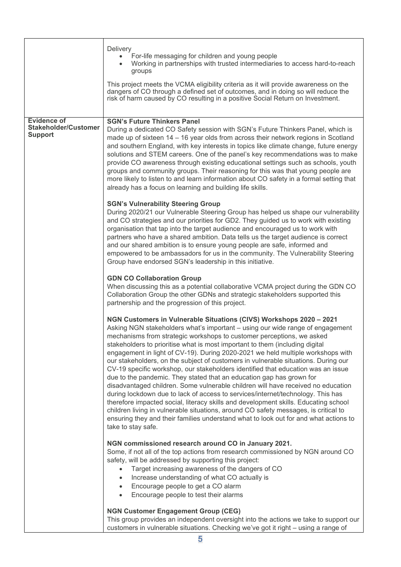|                                                                     | Delivery<br>For-life messaging for children and young people<br>Working in partnerships with trusted intermediaries to access hard-to-reach<br>groups<br>This project meets the VCMA eligibility criteria as it will provide awareness on the<br>dangers of CO through a defined set of outcomes, and in doing so will reduce the<br>risk of harm caused by CO resulting in a positive Social Return on Investment.                                                                                                                                                                                                                                                                                                                                                                                                                                                                                                                                                                                                                                                                                                   |
|---------------------------------------------------------------------|-----------------------------------------------------------------------------------------------------------------------------------------------------------------------------------------------------------------------------------------------------------------------------------------------------------------------------------------------------------------------------------------------------------------------------------------------------------------------------------------------------------------------------------------------------------------------------------------------------------------------------------------------------------------------------------------------------------------------------------------------------------------------------------------------------------------------------------------------------------------------------------------------------------------------------------------------------------------------------------------------------------------------------------------------------------------------------------------------------------------------|
| <b>Evidence of</b><br><b>Stakeholder/Customer</b><br><b>Support</b> | <b>SGN's Future Thinkers Panel</b><br>During a dedicated CO Safety session with SGN's Future Thinkers Panel, which is<br>made up of sixteen 14 - 16 year olds from across their network regions in Scotland<br>and southern England, with key interests in topics like climate change, future energy<br>solutions and STEM careers. One of the panel's key recommendations was to make<br>provide CO awareness through existing educational settings such as schools, youth<br>groups and community groups. Their reasoning for this was that young people are<br>more likely to listen to and learn information about CO safety in a formal setting that<br>already has a focus on learning and building life skills.                                                                                                                                                                                                                                                                                                                                                                                                |
|                                                                     | <b>SGN's Vulnerability Steering Group</b><br>During 2020/21 our Vulnerable Steering Group has helped us shape our vulnerability<br>and CO strategies and our priorities for GD2. They guided us to work with existing<br>organisation that tap into the target audience and encouraged us to work with<br>partners who have a shared ambition. Data tells us the target audience is correct<br>and our shared ambition is to ensure young people are safe, informed and<br>empowered to be ambassadors for us in the community. The Vulnerability Steering<br>Group have endorsed SGN's leadership in this initiative.                                                                                                                                                                                                                                                                                                                                                                                                                                                                                                |
|                                                                     | <b>GDN CO Collaboration Group</b><br>When discussing this as a potential collaborative VCMA project during the GDN CO<br>Collaboration Group the other GDNs and strategic stakeholders supported this<br>partnership and the progression of this project.                                                                                                                                                                                                                                                                                                                                                                                                                                                                                                                                                                                                                                                                                                                                                                                                                                                             |
|                                                                     | NGN Customers in Vulnerable Situations (CIVS) Workshops 2020 - 2021<br>Asking NGN stakeholders what's important - using our wide range of engagement<br>mechanisms from strategic workshops to customer perceptions, we asked<br>stakeholders to prioritise what is most important to them (including digital<br>engagement in light of CV-19). During 2020-2021 we held multiple workshops with<br>our stakeholders, on the subject of customers in vulnerable situations. During our<br>CV-19 specific workshop, our stakeholders identified that education was an issue<br>due to the pandemic. They stated that an education gap has grown for<br>disadvantaged children. Some vulnerable children will have received no education<br>during lockdown due to lack of access to services/internet/technology. This has<br>therefore impacted social, literacy skills and development skills. Educating school<br>children living in vulnerable situations, around CO safety messages, is critical to<br>ensuring they and their families understand what to look out for and what actions to<br>take to stay safe. |
|                                                                     | NGN commissioned research around CO in January 2021.<br>Some, if not all of the top actions from research commissioned by NGN around CO<br>safety, will be addressed by supporting this project:<br>Target increasing awareness of the dangers of CO<br>$\bullet$<br>Increase understanding of what CO actually is<br>$\bullet$<br>Encourage people to get a CO alarm<br>$\bullet$<br>Encourage people to test their alarms<br>$\bullet$                                                                                                                                                                                                                                                                                                                                                                                                                                                                                                                                                                                                                                                                              |
|                                                                     | <b>NGN Customer Engagement Group (CEG)</b><br>This group provides an independent oversight into the actions we take to support our<br>customers in vulnerable situations. Checking we've got it right - using a range of                                                                                                                                                                                                                                                                                                                                                                                                                                                                                                                                                                                                                                                                                                                                                                                                                                                                                              |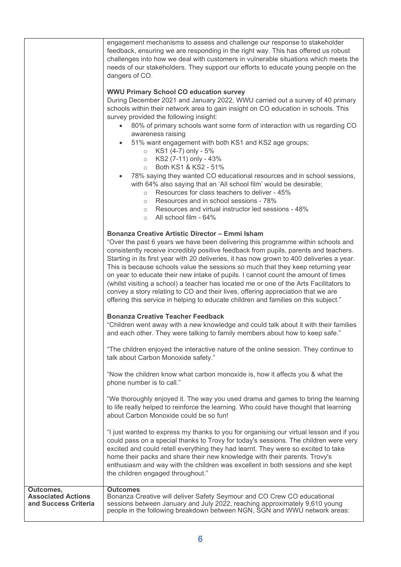|                                                                | engagement mechanisms to assess and challenge our response to stakeholder<br>feedback, ensuring we are responding in the right way. This has offered us robust<br>challenges into how we deal with customers in vulnerable situations which meets the<br>needs of our stakeholders. They support our efforts to educate young people on the<br>dangers of CO.                                                                                                                                                                                                                                                                                                                                                                                                                                                                                                                                                                        |
|----------------------------------------------------------------|--------------------------------------------------------------------------------------------------------------------------------------------------------------------------------------------------------------------------------------------------------------------------------------------------------------------------------------------------------------------------------------------------------------------------------------------------------------------------------------------------------------------------------------------------------------------------------------------------------------------------------------------------------------------------------------------------------------------------------------------------------------------------------------------------------------------------------------------------------------------------------------------------------------------------------------|
|                                                                | <b>WWU Primary School CO education survey</b><br>During December 2021 and January 2022, WWU carried out a survey of 40 primary<br>schools within their network area to gain insight on CO education in schools. This<br>survey provided the following insight:<br>80% of primary schools want some form of interaction with us regarding CO<br>$\bullet$<br>awareness raising<br>51% want engagement with both KS1 and KS2 age groups;<br>$\bullet$<br>KS1 (4-7) only - 5%<br>$\circ$<br>KS2 (7-11) only - 43%<br>$\circ$<br>Both KS1 & KS2 - 51%<br>$\circ$<br>78% saying they wanted CO educational resources and in school sessions,<br>with 64% also saying that an 'All school film' would be desirable;<br>Resources for class teachers to deliver - 45%<br>$\circ$<br>Resources and in school sessions - 78%<br>$\circ$<br>Resources and virtual instructor led sessions - 48%<br>$\circ$<br>All school film - 64%<br>$\circ$ |
|                                                                | <b>Bonanza Creative Artistic Director - Emmi Isham</b><br>"Over the past 6 years we have been delivering this programme within schools and<br>consistently receive incredibly positive feedback from pupils, parents and teachers.<br>Starting in its first year with 20 deliveries, it has now grown to 400 deliveries a year.<br>This is because schools value the sessions so much that they keep returning year<br>on year to educate their new intake of pupils. I cannot count the amount of times<br>(whilst visiting a school) a teacher has located me or one of the Arts Facilitators to<br>convey a story relating to CO and their lives, offering appreciation that we are<br>offering this service in helping to educate children and families on this subject."                                                                                                                                                        |
|                                                                | <b>Bonanza Creative Teacher Feedback</b><br>"Children went away with a new knowledge and could talk about it with their families<br>and each other. They were talking to family members about how to keep safe."                                                                                                                                                                                                                                                                                                                                                                                                                                                                                                                                                                                                                                                                                                                     |
|                                                                | "The children enjoyed the interactive nature of the online session. They continue to<br>talk about Carbon Monoxide safety."                                                                                                                                                                                                                                                                                                                                                                                                                                                                                                                                                                                                                                                                                                                                                                                                          |
|                                                                | "Now the children know what carbon monoxide is, how it affects you & what the<br>phone number is to call."                                                                                                                                                                                                                                                                                                                                                                                                                                                                                                                                                                                                                                                                                                                                                                                                                           |
|                                                                | "We thoroughly enjoyed it. The way you used drama and games to bring the learning<br>to life really helped to reinforce the learning. Who could have thought that learning<br>about Carbon Monoxide could be so fun!                                                                                                                                                                                                                                                                                                                                                                                                                                                                                                                                                                                                                                                                                                                 |
|                                                                | "I just wanted to express my thanks to you for organising our virtual lesson and if you<br>could pass on a special thanks to Trovy for today's sessions. The children were very<br>excited and could retell everything they had learnt. They were so excited to take<br>home their packs and share their new knowledge with their parents. Trovy's<br>enthusiasm and way with the children was excellent in both sessions and she kept<br>the children engaged throughout."                                                                                                                                                                                                                                                                                                                                                                                                                                                          |
| Outcomes,<br><b>Associated Actions</b><br>and Success Criteria | <b>Outcomes</b><br>Bonanza Creative will deliver Safety Seymour and CO Crew CO educational<br>sessions between January and July 2022, reaching approximately 9,610 young<br>people in the following breakdown between NGN, SGN and WWU network areas:                                                                                                                                                                                                                                                                                                                                                                                                                                                                                                                                                                                                                                                                                |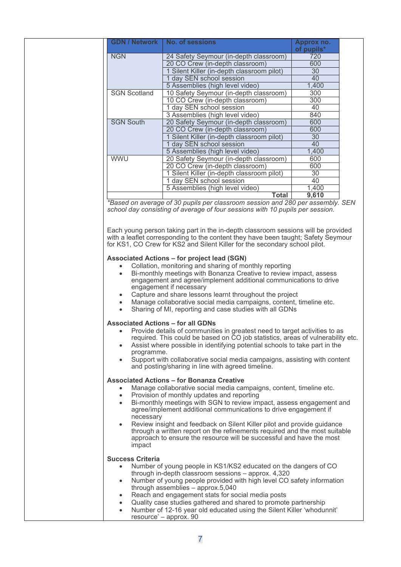|                     | <b>GDN / Network   No. of sessions</b>     | Approx no.<br>of pupils* |  |
|---------------------|--------------------------------------------|--------------------------|--|
| <b>NGN</b>          | 24 Safety Seymour (in-depth classroom)     | 720                      |  |
|                     | 20 CO Crew (in-depth classroom)            | 600                      |  |
|                     | 1 Silent Killer (in-depth classroom pilot) | 30                       |  |
|                     | 1 day SEN school session                   | 40                       |  |
|                     | 5 Assemblies (high level video)            | 1,400                    |  |
| <b>SGN Scotland</b> | 10 Safety Seymour (in-depth classroom)     | 300                      |  |
|                     | 10 CO Crew (in-depth classroom)            | 300                      |  |
|                     | 1 day SEN school session                   | 40                       |  |
|                     | 3 Assemblies (high level video)            | 840                      |  |
| <b>SGN South</b>    | 20 Safety Seymour (in-depth classroom)     | 600                      |  |
|                     | 20 CO Crew (in-depth classroom)            | 600                      |  |
|                     | 1 Silent Killer (in-depth classroom pilot) | 30                       |  |
|                     | 1 day SEN school session                   | 40                       |  |
|                     | 5 Assemblies (high level video)            | 1.400                    |  |
| <b>WWU</b>          | 20 Safety Seymour (in-depth classroom)     | 600                      |  |
|                     | 20 CO Crew (in-depth classroom)            | 600                      |  |
|                     | 1 Silent Killer (in-depth classroom pilot) | 30                       |  |
|                     | 1 day SEN school session                   | 40                       |  |
|                     | 5 Assemblies (high level video)            | 1,400                    |  |
|                     | <b>Total</b>                               | 9,610                    |  |

*\*Based on average of 30 pupils per classroom session and 280 per assembly. SEN school day consisting of average of four sessions with 10 pupils per session.*

Each young person taking part in the in-depth classroom sessions will be provided with a leaflet corresponding to the content they have been taught; Safety Seymour for KS1, CO Crew for KS2 and Silent Killer for the secondary school pilot.

#### **Associated Actions – for project lead (SGN)**

- Collation, monitoring and sharing of monthly reporting
- Bi-monthly meetings with Bonanza Creative to review impact, assess engagement and agree/implement additional communications to drive engagement if necessary
- Capture and share lessons learnt throughout the project
- Manage collaborative social media campaigns, content, timeline etc.
- Sharing of MI, reporting and case studies with all GDNs

#### **Associated Actions – for all GDNs**

- Provide details of communities in greatest need to target activities to as required. This could be based on CO job statistics, areas of vulnerability etc.
- Assist where possible in identifying potential schools to take part in the programme.
- Support with collaborative social media campaigns, assisting with content and posting/sharing in line with agreed timeline.

#### **Associated Actions – for Bonanza Creative**

- Manage collaborative social media campaigns, content, timeline etc.
- Provision of monthly updates and reporting
- Bi-monthly meetings with SGN to review impact, assess engagement and agree/implement additional communications to drive engagement if necessary
- Review insight and feedback on Silent Killer pilot and provide guidance through a written report on the refinements required and the most suitable approach to ensure the resource will be successful and have the most impact

#### **Success Criteria**

- Number of young people in KS1/KS2 educated on the dangers of CO through in-depth classroom sessions – approx. 4,320
- Number of young people provided with high level CO safety information through assemblies – approx.5,040
- Reach and engagement stats for social media posts
- Quality case studies gathered and shared to promote partnership
- Number of 12-16 year old educated using the Silent Killer 'whodunnit' resource' – approx. 90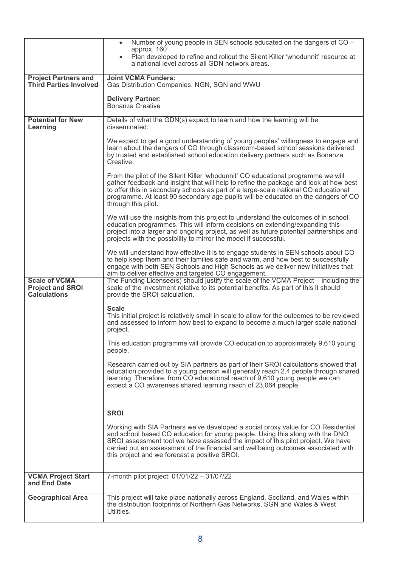|                                                                        | Number of young people in SEN schools educated on the dangers of CO -<br>$\bullet$                                                                                                                                                                                                                                                                                                          |
|------------------------------------------------------------------------|---------------------------------------------------------------------------------------------------------------------------------------------------------------------------------------------------------------------------------------------------------------------------------------------------------------------------------------------------------------------------------------------|
|                                                                        | approx. 160<br>Plan developed to refine and rollout the Silent Killer 'whodunnit' resource at<br>a national level across all GDN network areas.                                                                                                                                                                                                                                             |
| <b>Project Partners and</b><br><b>Third Parties Involved</b>           | <b>Joint VCMA Funders:</b><br>Gas Distribution Companies: NGN, SGN and WWU                                                                                                                                                                                                                                                                                                                  |
|                                                                        | <b>Delivery Partner:</b><br>Bonanza Creative                                                                                                                                                                                                                                                                                                                                                |
| <b>Potential for New</b><br>Learning                                   | Details of what the GDN(s) expect to learn and how the learning will be<br>disseminated.                                                                                                                                                                                                                                                                                                    |
|                                                                        | We expect to get a good understanding of young peoples' willingness to engage and<br>learn about the dangers of CO through classroom-based school sessions delivered<br>by trusted and established school education delivery partners such as Bonanza<br>Creative.                                                                                                                          |
|                                                                        | From the pilot of the Silent Killer 'whodunnit' CO educational programme we will<br>gather feedback and insight that will help to refine the package and look at how best<br>to offer this in secondary schools as part of a large-scale national CO educational<br>programme. At least 90 secondary age pupils will be educated on the dangers of CO<br>through this pilot.                |
|                                                                        | We will use the insights from this project to understand the outcomes of in school<br>education programmes. This will inform decisions on extending/expanding this<br>project into a larger and ongoing project, as well as future potential partnerships and<br>projects with the possibility to mirror the model if successful.                                                           |
|                                                                        | We will understand how effective it is to engage students in SEN schools about CO<br>to help keep them and their families safe and warm, and how best to successfully<br>engage with both SEN Schools and High Schools as we deliver new initiatives that<br>aim to deliver effective and targeted CO engagement.                                                                           |
| <b>Scale of VCMA</b><br><b>Project and SROI</b><br><b>Calculations</b> | The Funding Licensee(s) should justify the scale of the VCMA Project – including the<br>scale of the investment relative to its potential benefits. As part of this it should<br>provide the SROI calculation.                                                                                                                                                                              |
|                                                                        | <b>Scale</b><br>This initial project is relatively small in scale to allow for the outcomes to be reviewed<br>and assessed to inform how best to expand to become a much larger scale national<br>project.                                                                                                                                                                                  |
|                                                                        | This education programme will provide CO education to approximately 9,610 young<br>people.                                                                                                                                                                                                                                                                                                  |
|                                                                        | Research carried out by SIA partners as part of their SROI calculations showed that<br>education provided to a young person will generally reach 2.4 people through shared<br>learning. Therefore, from CO educational reach of 9,610 young people we can<br>expect a CO awareness shared learning reach of 23,064 people.                                                                  |
|                                                                        | <b>SROI</b>                                                                                                                                                                                                                                                                                                                                                                                 |
|                                                                        | Working with SIA Partners we've developed a social proxy value for CO Residential<br>and school based CO education for young people. Using this along with the DNO<br>SROI assessment tool we have assessed the impact of this pilot project. We have<br>carried out an assessment of the financial and wellbeing outcomes associated with<br>this project and we forecast a positive SROI. |
| <b>VCMA Project Start</b><br>and End Date                              | 7-month pilot project: 01/01/22 - 31/07/22                                                                                                                                                                                                                                                                                                                                                  |
| <b>Geographical Area</b>                                               | This project will take place nationally across England, Scotland, and Wales within<br>the distribution footprints of Northern Gas Networks, SGN and Wales & West<br>Utilities.                                                                                                                                                                                                              |